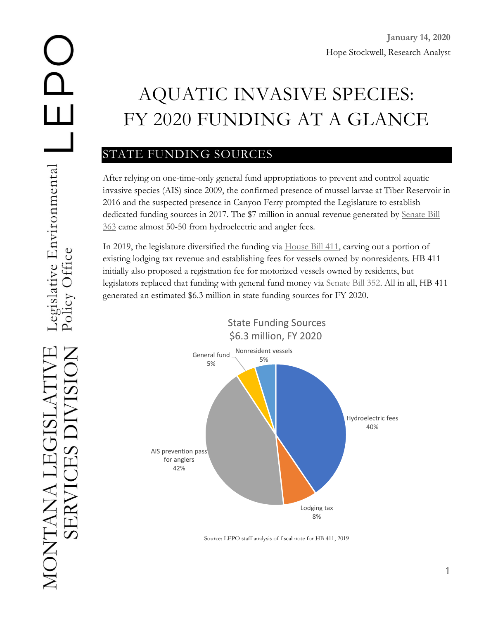# AQUATIC INVASIVE SPECIES: FY 2020 FUNDING AT A GLANCE

# STATE FUNDING SOURCES

After relying on one-time-only general fund appropriations to prevent and control aquatic invasive species (AIS) since 2009, the confirmed presence of mussel larvae at Tiber Reservoir in 2016 and the suspected presence in Canyon Ferry prompted the Legislature to establish dedicated funding sources in 2017. The \$7 million in annual revenue generated by [Senate Bill](http://laws.leg.mt.gov/legprd/LAW0203W$BSRV.ActionQuery?P_SESS=20171&P_BLTP_BILL_TYP_CD=SB&P_BILL_NO=363&P_BILL_DFT_NO=&P_CHPT_NO=&Z_ACTION=Find&P_ENTY_ID_SEQ2=&P_SBJT_SBJ_CD=&P_ENTY_ID_SEQ=)  [363](http://laws.leg.mt.gov/legprd/LAW0203W$BSRV.ActionQuery?P_SESS=20171&P_BLTP_BILL_TYP_CD=SB&P_BILL_NO=363&P_BILL_DFT_NO=&P_CHPT_NO=&Z_ACTION=Find&P_ENTY_ID_SEQ2=&P_SBJT_SBJ_CD=&P_ENTY_ID_SEQ=) came almost 50-50 from hydroelectric and angler fees.

In 2019, the legislature diversified the funding via [House Bill 411,](http://laws.leg.mt.gov/legprd/LAW0203W$BSRV.ActionQuery?P_SESS=20191&P_BLTP_BILL_TYP_CD=HB&P_BILL_NO=411&P_BILL_DFT_NO=&P_CHPT_NO=&Z_ACTION=Find&P_ENTY_ID_SEQ2=&P_SBJT_SBJ_CD=&P_ENTY_ID_SEQ=) carving out a portion of existing lodging tax revenue and establishing fees for vessels owned by nonresidents. HB 411 initially also proposed a registration fee for motorized vessels owned by residents, but legislators replaced that funding with general fund money via [Senate Bill 352.](http://laws.leg.mt.gov/legprd/LAW0210W$BSIV.ActionQuery?P_BILL_NO1=352&P_BLTP_BILL_TYP_CD=SB&Z_ACTION=Find&P_SESS=20191) All in all, HB 411 generated an estimated \$6.3 million in state funding sources for FY 2020.



Source: LEPO staff analysis of fiscal note for HB 411, 2019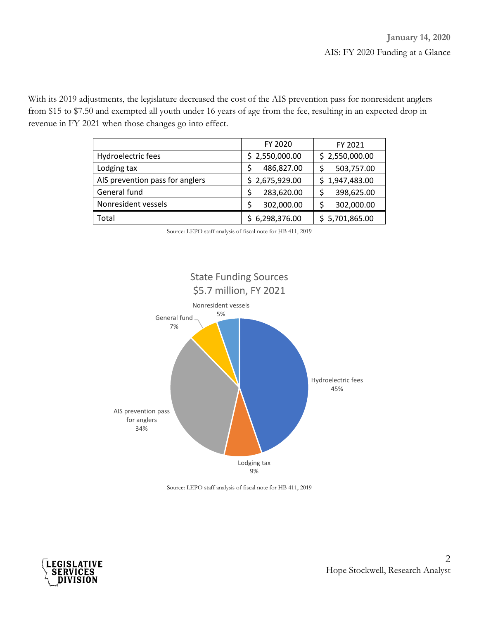With its 2019 adjustments, the legislature decreased the cost of the AIS prevention pass for nonresident anglers from \$15 to \$7.50 and exempted all youth under 16 years of age from the fee, resulting in an expected drop in revenue in FY 2021 when those changes go into effect.

|                                 | FY 2020        | FY 2021        |
|---------------------------------|----------------|----------------|
| Hydroelectric fees              | \$2,550,000.00 | \$2,550,000.00 |
| Lodging tax                     | 486,827.00     | 503,757.00     |
| AIS prevention pass for anglers | \$2,675,929.00 | \$1,947,483.00 |
| General fund                    | 283,620.00     | 398,625.00     |
| Nonresident vessels             | 302,000.00     | 302,000.00     |
| Total                           | 6,298,376.00   | \$5,701,865.00 |

Source: LEPO staff analysis of fiscal note for HB 411, 2019



Source: LEPO staff analysis of fiscal note for HB 411, 2019

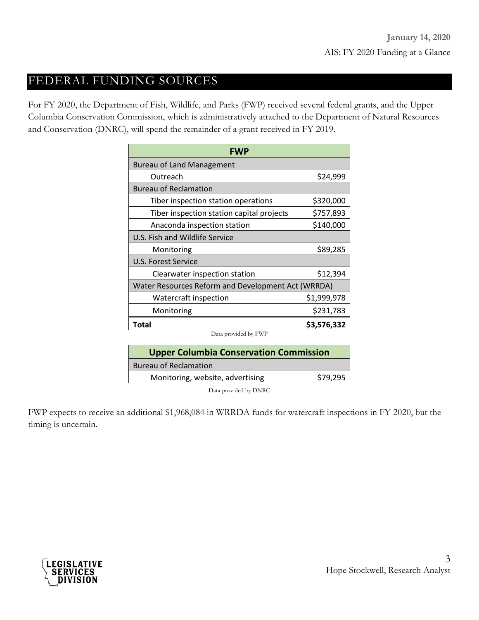#### FEDERAL FUNDING SOURCES

For FY 2020, the Department of Fish, Wildlife, and Parks (FWP) received several federal grants, and the Upper Columbia Conservation Commission, which is administratively attached to the Department of Natural Resources and Conservation (DNRC), will spend the remainder of a grant received in FY 2019.

| <b>FWP</b>                                         |             |  |
|----------------------------------------------------|-------------|--|
| <b>Bureau of Land Management</b>                   |             |  |
| Outreach                                           | \$24,999    |  |
| <b>Bureau of Reclamation</b>                       |             |  |
| Tiber inspection station operations                | \$320,000   |  |
| Tiber inspection station capital projects          | \$757,893   |  |
| Anaconda inspection station                        | \$140,000   |  |
| U.S. Fish and Wildlife Service                     |             |  |
| Monitoring                                         | \$89,285    |  |
| U.S. Forest Service                                |             |  |
| Clearwater inspection station                      | \$12,394    |  |
| Water Resources Reform and Development Act (WRRDA) |             |  |
| Watercraft inspection                              | \$1,999,978 |  |
| Monitoring                                         | \$231,783   |  |
| Total<br>$11.5$ m<br>$\mathbf{r}$                  | \$3,576,332 |  |

Data provided by FWP

| <b>Upper Columbia Conservation Commission</b> |          |  |
|-----------------------------------------------|----------|--|
| <b>Bureau of Reclamation</b>                  |          |  |
| Monitoring, website, advertising              | \$79,295 |  |
|                                               |          |  |

Data provided by DNRC

FWP expects to receive an additional \$1,968,084 in WRRDA funds for watercraft inspections in FY 2020, but the timing is uncertain.

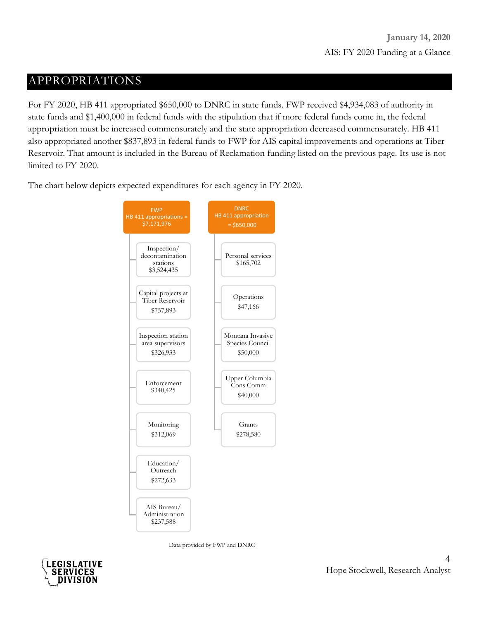## APPROPRIATIONS

For FY 2020, HB 411 appropriated \$650,000 to DNRC in state funds. FWP received \$4,934,083 of authority in state funds and \$1,400,000 in federal funds with the stipulation that if more federal funds come in, the federal appropriation must be increased commensurately and the state appropriation decreased commensurately. HB 411 also appropriated another \$837,893 in federal funds to FWP for AIS capital improvements and operations at Tiber Reservoir. That amount is included in the Bureau of Reclamation funding listed on the previous page. Its use is not limited to FY 2020.

The chart below depicts expected expenditures for each agency in FY 2020.



Data provided by FWP and DNRC

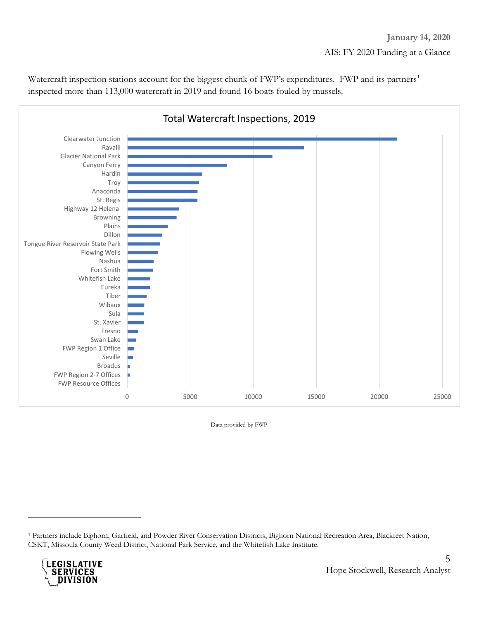Watercraft inspection stations account for the biggest chunk of FWP's expenditures. FWP and its partners<sup>[1](#page-4-0)</sup> inspected more than 113,000 watercraft in 2019 and found 16 boats fouled by mussels.



Data provided by FWP

<span id="page-4-0"></span><sup>1</sup> Partners include Bighorn, Garfield, and Powder River Conservation Districts, Bighorn National Recreation Area, Blackfeet Nation, CSKT, Missoula County Weed District, National Park Service, and the Whitefish Lake Institute.



 $\overline{a}$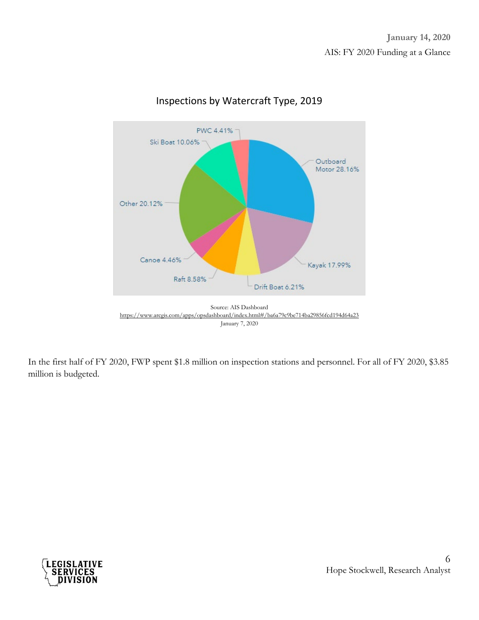

#### Inspections by Watercraft Type, 2019



In the first half of FY 2020, FWP spent \$1.8 million on inspection stations and personnel. For all of FY 2020, \$3.85 million is budgeted.